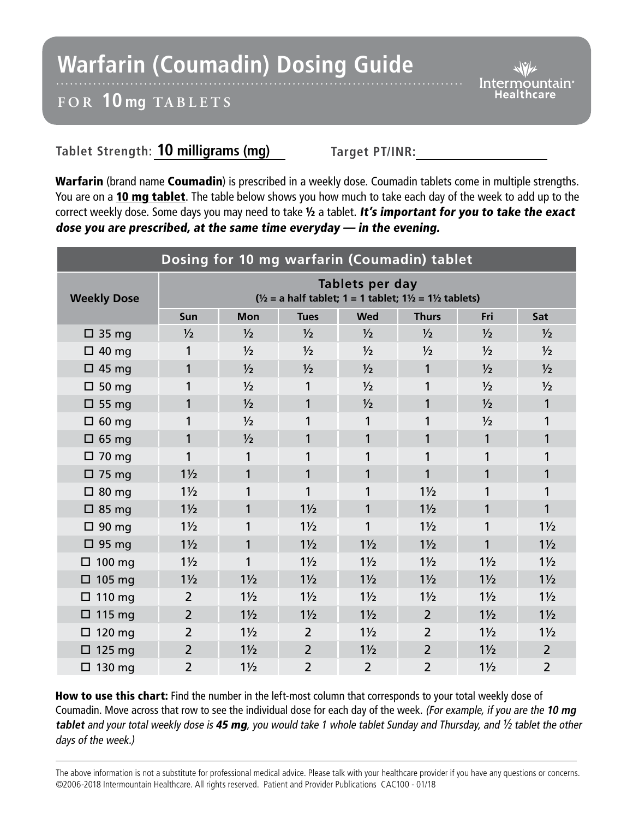## **Warfarin (Coumadin) Dosing Guide**

*Intermountain*<sup>®</sup> Healthcare

## **FOR 10 mg TABL ETS**

## Tablet Strength: **10 milligrams (mg)** Target PT/INR:

Warfarin (brand name Coumadin) is prescribed in a weekly dose. Coumadin tablets come in multiple strengths. You are on a 10 mg tablet. The table below shows you how much to take each day of the week to add up to the correct weekly dose. Some days you may need to take 1/2 a tablet. It's important for you to take the exact dose you are prescribed, at the same time everyday — in the evening.

| Dosing for 10 mg warfarin (Coumadin) tablet |                                                                                                            |                |                |                |                |                |                |
|---------------------------------------------|------------------------------------------------------------------------------------------------------------|----------------|----------------|----------------|----------------|----------------|----------------|
| <b>Weekly Dose</b>                          | Tablets per day<br>$\frac{1}{2}$ = a half tablet; 1 = 1 tablet; 1 $\frac{1}{2}$ = 1 $\frac{1}{2}$ tablets) |                |                |                |                |                |                |
|                                             | Sun                                                                                                        | <b>Mon</b>     | <b>Tues</b>    | <b>Wed</b>     | <b>Thurs</b>   | Fri            | Sat            |
| $\Box$ 35 mg                                | 1/2                                                                                                        | $\frac{1}{2}$  | $\frac{1}{2}$  | $\frac{1}{2}$  | $\frac{1}{2}$  | $\frac{1}{2}$  | $\frac{1}{2}$  |
| $\Box$ 40 mg                                | 1                                                                                                          | $\frac{1}{2}$  | $\frac{1}{2}$  | $\frac{1}{2}$  | $\frac{1}{2}$  | $\frac{1}{2}$  | $\frac{1}{2}$  |
| $\Box$ 45 mg                                | 1                                                                                                          | $\frac{1}{2}$  | $\frac{1}{2}$  | $\frac{1}{2}$  | 1              | $\frac{1}{2}$  | 1/2            |
| $\Box$ 50 mg                                | 1                                                                                                          | 1/2            | 1              | $\frac{1}{2}$  | 1              | $\frac{1}{2}$  | $\frac{1}{2}$  |
| $\Box$ 55 mg                                | 1                                                                                                          | 1/2            | 1              | $\frac{1}{2}$  | 1              | 1/2            | 1              |
| $\Box$ 60 mg                                | 1                                                                                                          | 1/2            | 1              | 1              |                | $\frac{1}{2}$  | 1              |
| $\Box$ 65 mg                                | 1                                                                                                          | 1/2            | 1              | 1              | 1              | $\mathbf{1}$   | 1              |
| $\Box$ 70 mg                                | 1                                                                                                          | 1              | 1              | 1              |                | 1              | 1              |
| $\Box$ 75 mg                                | $1\frac{1}{2}$                                                                                             | 1              | 1              | 1              | 1              | 1              | 1              |
| $\Box$ 80 mg                                | $1\frac{1}{2}$                                                                                             | 1              | 1              | 1              | $1\frac{1}{2}$ | 1              | 1              |
| $\Box$ 85 mg                                | $1\frac{1}{2}$                                                                                             | 1              | $1\frac{1}{2}$ | 1              | $1\frac{1}{2}$ | 1              | 1              |
| $\Box$ 90 mg                                | $1\frac{1}{2}$                                                                                             | 1              | $1\frac{1}{2}$ | 1              | $1\frac{1}{2}$ | 1              | $1\frac{1}{2}$ |
| $\Box$ 95 mg                                | $1\frac{1}{2}$                                                                                             | 1              | $1\frac{1}{2}$ | $1\frac{1}{2}$ | $1\frac{1}{2}$ | 1              | $1\frac{1}{2}$ |
| $\Box$ 100 mg                               | $1\frac{1}{2}$                                                                                             | 1              | $1\frac{1}{2}$ | $1\frac{1}{2}$ | $1\frac{1}{2}$ | $1\frac{1}{2}$ | $1\frac{1}{2}$ |
| $\Box$ 105 mg                               | $1\frac{1}{2}$                                                                                             | $1\frac{1}{2}$ | $1\frac{1}{2}$ | $1\frac{1}{2}$ | $1\frac{1}{2}$ | $1\frac{1}{2}$ | $1\frac{1}{2}$ |
| $\Box$ 110 mg                               | $\overline{2}$                                                                                             | $1\frac{1}{2}$ | $1\frac{1}{2}$ | $1\frac{1}{2}$ | $1\frac{1}{2}$ | $1\frac{1}{2}$ | $1\frac{1}{2}$ |
| $\Box$ 115 mg                               | $\overline{2}$                                                                                             | $1\frac{1}{2}$ | $1\frac{1}{2}$ | $1\frac{1}{2}$ | $\overline{2}$ | $1\frac{1}{2}$ | $1\frac{1}{2}$ |
| $\Box$ 120 mg                               | $\overline{2}$                                                                                             | $1\frac{1}{2}$ | $\overline{2}$ | $1\frac{1}{2}$ | $\overline{2}$ | $1\frac{1}{2}$ | $1\frac{1}{2}$ |
| $\Box$ 125 mg                               | $\overline{2}$                                                                                             | $1\frac{1}{2}$ | $\overline{2}$ | $1\frac{1}{2}$ | $\overline{2}$ | $1\frac{1}{2}$ | $\overline{2}$ |
| $\Box$ 130 mg                               | $\overline{2}$                                                                                             | $1\frac{1}{2}$ | $\overline{2}$ | $\overline{2}$ | $\overline{2}$ | $1\frac{1}{2}$ | $\overline{2}$ |

How to use this chart: Find the number in the left-most column that corresponds to your total weekly dose of Coumadin. Move across that row to see the individual dose for each day of the week. (For example, if you are the **10 mg tablet** and your total weekly dose is 45 mg, you would take 1 whole tablet Sunday and Thursday, and ½ tablet the other days of the week.)

The above information is not a substitute for professional medical advice. Please talk with your healthcare provider if you have any questions or concerns. ©2006-2018 Intermountain Healthcare. All rights reserved. Patient and Provider Publications CAC100 - 01/18